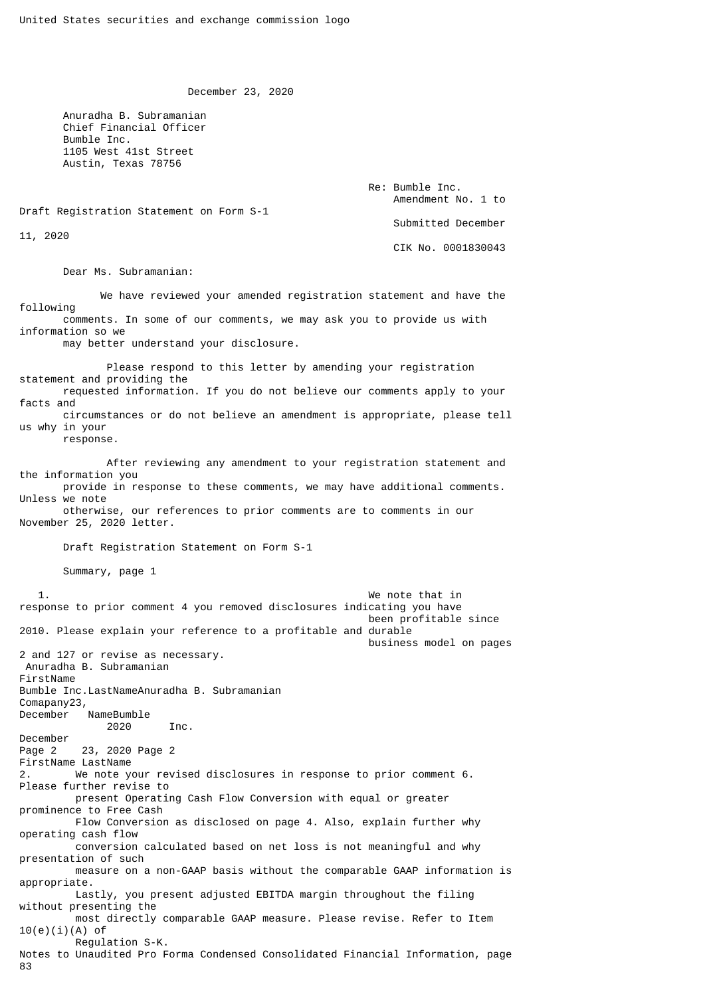December 23, 2020

 Anuradha B. Subramanian Chief Financial Officer Bumble Inc. 1105 West 41st Street Austin, Texas 78756

> Re: Bumble Inc. Amendment No. 1 to Submitted December CIK No. 0001830043

Draft Registration Statement on Form S-1

11, 2020

 Dear Ms. Subramanian: We have reviewed your amended registration statement and have the following comments. In some of our comments, we may ask you to provide us with information so we may better understand your disclosure. Please respond to this letter by amending your registration statement and providing the requested information. If you do not believe our comments apply to your facts and circumstances or do not believe an amendment is appropriate, please tell us why in your response. After reviewing any amendment to your registration statement and the information you provide in response to these comments, we may have additional comments. Unless we note otherwise, our references to prior comments are to comments in our November 25, 2020 letter. Draft Registration Statement on Form S-1 Summary, page 1 1. We note that in response to prior comment 4 you removed disclosures indicating you have been profitable since 2010. Please explain your reference to a profitable and durable business model on pages 2 and 127 or revise as necessary. Anuradha B. Subramanian FirstName Bumble Inc.LastNameAnuradha B. Subramanian Comapany23, December NameBumble 2020 Inc. December Page 2 23, 2020 Page 2 FirstName LastName 2. We note your revised disclosures in response to prior comment 6. Please further revise to present Operating Cash Flow Conversion with equal or greater prominence to Free Cash Flow Conversion as disclosed on page 4. Also, explain further why operating cash flow conversion calculated based on net loss is not meaningful and why presentation of such measure on a non-GAAP basis without the comparable GAAP information is appropriate. Lastly, you present adjusted EBITDA margin throughout the filing without presenting the most directly comparable GAAP measure. Please revise. Refer to Item 10(e)(i)(A) of Regulation S-K. Notes to Unaudited Pro Forma Condensed Consolidated Financial Information, page 83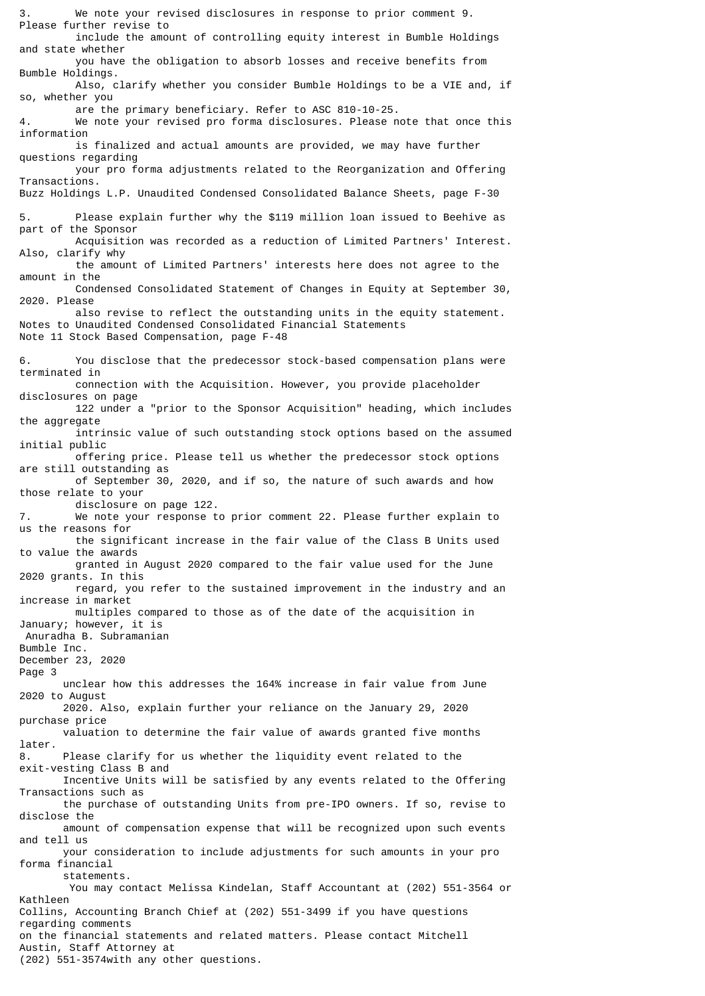3. We note your revised disclosures in response to prior comment 9. Please further revise to include the amount of controlling equity interest in Bumble Holdings and state whether you have the obligation to absorb losses and receive benefits from Bumble Holdings. Also, clarify whether you consider Bumble Holdings to be a VIE and, if so, whether you are the primary beneficiary. Refer to ASC 810-10-25. 4. We note your revised pro forma disclosures. Please note that once this information is finalized and actual amounts are provided, we may have further questions regarding your pro forma adjustments related to the Reorganization and Offering Transactions. Buzz Holdings L.P. Unaudited Condensed Consolidated Balance Sheets, page F-30 5. Please explain further why the \$119 million loan issued to Beehive as part of the Sponsor Acquisition was recorded as a reduction of Limited Partners' Interest. Also, clarify why the amount of Limited Partners' interests here does not agree to the amount in the Condensed Consolidated Statement of Changes in Equity at September 30, 2020. Please also revise to reflect the outstanding units in the equity statement. Notes to Unaudited Condensed Consolidated Financial Statements Note 11 Stock Based Compensation, page F-48 6. You disclose that the predecessor stock-based compensation plans were terminated in connection with the Acquisition. However, you provide placeholder disclosures on page 122 under a "prior to the Sponsor Acquisition" heading, which includes the aggregate intrinsic value of such outstanding stock options based on the assumed initial public offering price. Please tell us whether the predecessor stock options are still outstanding as of September 30, 2020, and if so, the nature of such awards and how those relate to your disclosure on page 122.<br>We note your response t We note your response to prior comment 22. Please further explain to us the reasons for the significant increase in the fair value of the Class B Units used to value the awards granted in August 2020 compared to the fair value used for the June 2020 grants. In this regard, you refer to the sustained improvement in the industry and an increase in market multiples compared to those as of the date of the acquisition in January; however, it is Anuradha B. Subramanian Bumble Inc. December 23, 2020 Page 3 unclear how this addresses the 164% increase in fair value from June 2020 to August 2020. Also, explain further your reliance on the January 29, 2020 purchase price valuation to determine the fair value of awards granted five months later. 8. Please clarify for us whether the liquidity event related to the exit-vesting Class B and Incentive Units will be satisfied by any events related to the Offering Transactions such as the purchase of outstanding Units from pre-IPO owners. If so, revise to disclose the amount of compensation expense that will be recognized upon such events and tell us your consideration to include adjustments for such amounts in your pro forma financial statements. You may contact Melissa Kindelan, Staff Accountant at (202) 551-3564 or Kathleen Collins, Accounting Branch Chief at (202) 551-3499 if you have questions regarding comments on the financial statements and related matters. Please contact Mitchell Austin, Staff Attorney at

(202) 551-3574with any other questions.